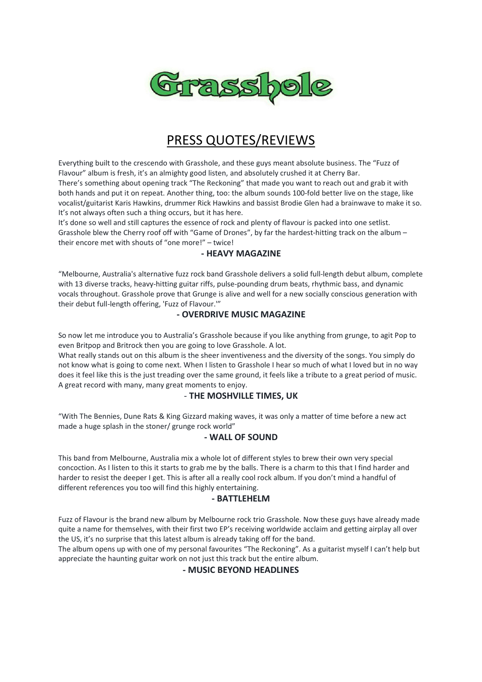

# PRESS QUOTES/REVIEWS

Everything built to the crescendo with Grasshole, and these guys meant absolute business. The "Fuzz of Flavour" album is fresh, it's an almighty good listen, and absolutely crushed it at Cherry Bar. There's something about opening track "The Reckoning" that made you want to reach out and grab it with both hands and put it on repeat. Another thing, too: the album sounds 100-fold better live on the stage, like vocalist/guitarist Karis Hawkins, drummer Rick Hawkins and bassist Brodie Glen had a brainwave to make it so. It's not always often such a thing occurs, but it has here.

It's done so well and still captures the essence of rock and plenty of flavour is packed into one setlist. Grasshole blew the Cherry roof off with "Game of Drones", by far the hardest-hitting track on the album – their encore met with shouts of "one more!" – twice!

#### **- HEAVY MAGAZINE**

"Melbourne, Australia's alternative fuzz rock band Grasshole delivers a solid full-length debut album, complete with 13 diverse tracks, heavy-hitting guitar riffs, pulse-pounding drum beats, rhythmic bass, and dynamic vocals throughout. Grasshole prove that Grunge is alive and well for a new socially conscious generation with their debut full-length offering, 'Fuzz of Flavour.'"

### **- OVERDRIVE MUSIC MAGAZINE**

So now let me introduce you to Australia's Grasshole because if you like anything from grunge, to agit Pop to even Britpop and Britrock then you are going to love Grasshole. A lot.

What really stands out on this album is the sheer inventiveness and the diversity of the songs. You simply do not know what is going to come next. When I listen to Grasshole I hear so much of what I loved but in no way does it feel like this is the just treading over the same ground, it feels like a tribute to a great period of music. A great record with many, many great moments to enjoy.

#### - **THE MOSHVILLE TIMES, UK**

"With The Bennies, Dune Rats & King Gizzard making waves, it was only a matter of time before a new act made a huge splash in the stoner/ grunge rock world"

#### **- WALL OF SOUND**

This band from Melbourne, Australia mix a whole lot of different styles to brew their own very special concoction. As I listen to this it starts to grab me by the balls. There is a charm to this that I find harder and harder to resist the deeper I get. This is after all a really cool rock album. If you don't mind a handful of different references you too will find this highly entertaining.

#### **- BATTLEHELM**

Fuzz of Flavour is the brand new album by Melbourne rock trio Grasshole. Now these guys have already made quite a name for themselves, with their first two EP's receiving worldwide acclaim and getting airplay all over the US, it's no surprise that this latest album is already taking off for the band.

The album opens up with one of my personal favourites "The Reckoning". As a guitarist myself I can't help but appreciate the haunting guitar work on not just this track but the entire album.

#### **- MUSIC BEYOND HEADLINES**